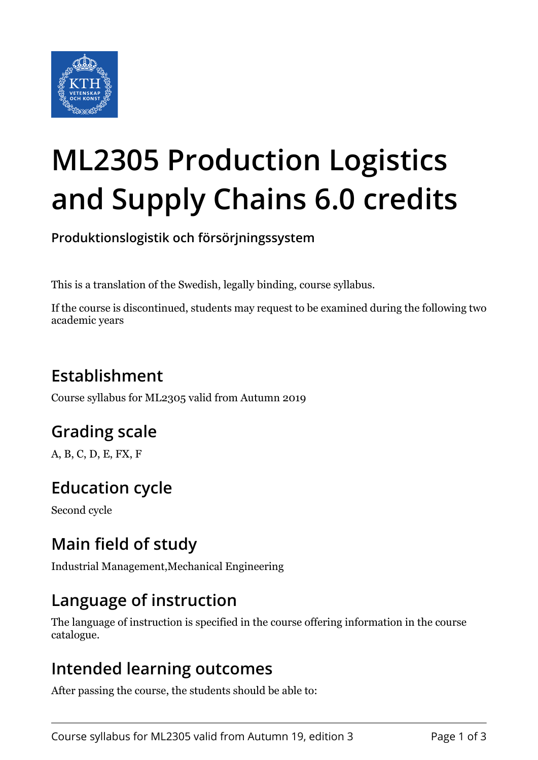

# **ML2305 Production Logistics and Supply Chains 6.0 credits**

**Produktionslogistik och försörjningssystem**

This is a translation of the Swedish, legally binding, course syllabus.

If the course is discontinued, students may request to be examined during the following two academic years

## **Establishment**

Course syllabus for ML2305 valid from Autumn 2019

## **Grading scale**

A, B, C, D, E, FX, F

## **Education cycle**

Second cycle

## **Main field of study**

Industrial Management,Mechanical Engineering

## **Language of instruction**

The language of instruction is specified in the course offering information in the course catalogue.

#### **Intended learning outcomes**

After passing the course, the students should be able to: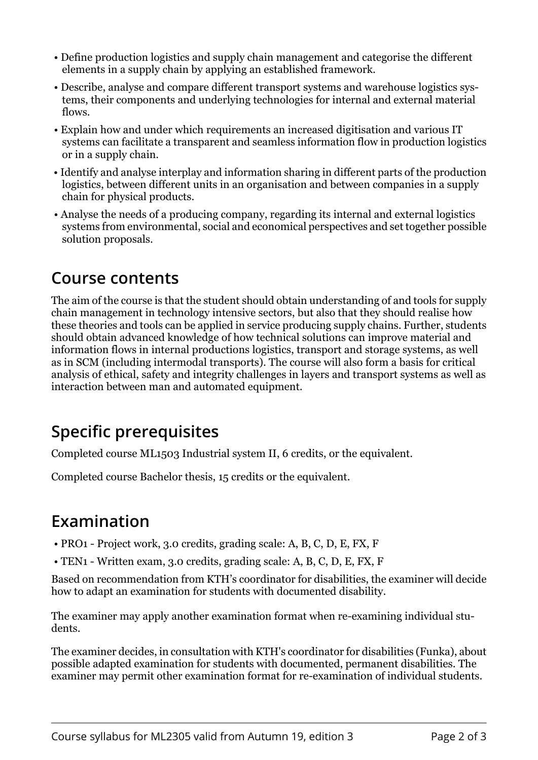- Define production logistics and supply chain management and categorise the different elements in a supply chain by applying an established framework.
- Describe, analyse and compare different transport systems and warehouse logistics systems, their components and underlying technologies for internal and external material flows.
- Explain how and under which requirements an increased digitisation and various IT systems can facilitate a transparent and seamless information flow in production logistics or in a supply chain.
- Identify and analyse interplay and information sharing in different parts of the production logistics, between different units in an organisation and between companies in a supply chain for physical products.
- Analyse the needs of a producing company, regarding its internal and external logistics systems from environmental, social and economical perspectives and set together possible solution proposals.

#### **Course contents**

The aim of the course is that the student should obtain understanding of and tools for supply chain management in technology intensive sectors, but also that they should realise how these theories and tools can be applied in service producing supply chains. Further, students should obtain advanced knowledge of how technical solutions can improve material and information flows in internal productions logistics, transport and storage systems, as well as in SCM (including intermodal transports). The course will also form a basis for critical analysis of ethical, safety and integrity challenges in layers and transport systems as well as interaction between man and automated equipment.

## **Specific prerequisites**

Completed course ML1503 Industrial system II, 6 credits, or the equivalent.

Completed course Bachelor thesis, 15 credits or the equivalent.

## **Examination**

- PRO1 Project work, 3.0 credits, grading scale: A, B, C, D, E, FX, F
- TEN1 Written exam, 3.0 credits, grading scale: A, B, C, D, E, FX, F

Based on recommendation from KTH's coordinator for disabilities, the examiner will decide how to adapt an examination for students with documented disability.

The examiner may apply another examination format when re-examining individual students.

The examiner decides, in consultation with KTH's coordinator for disabilities (Funka), about possible adapted examination for students with documented, permanent disabilities. The examiner may permit other examination format for re-examination of individual students.